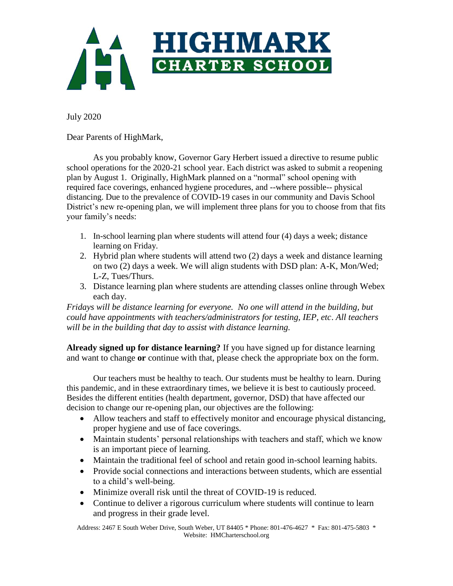

July 2020

Dear Parents of HighMark,

As you probably know, Governor Gary Herbert issued a directive to resume public school operations for the 2020-21 school year. Each district was asked to submit a reopening plan by August 1. Originally, HighMark planned on a "normal" school opening with required face coverings, enhanced hygiene procedures, and --where possible-- physical distancing. Due to the prevalence of COVID-19 cases in our community and Davis School District's new re-opening plan, we will implement three plans for you to choose from that fits your family's needs:

- 1. In-school learning plan where students will attend four (4) days a week; distance learning on Friday.
- 2. Hybrid plan where students will attend two (2) days a week and distance learning on two (2) days a week. We will align students with DSD plan: A-K, Mon/Wed; L-Z, Tues/Thurs.
- 3. Distance learning plan where students are attending classes online through Webex each day.

*Fridays will be distance learning for everyone. No one will attend in the building, but could have appointments with teachers/administrators for testing, IEP, etc*. *All teachers will be in the building that day to assist with distance learning.*

**Already signed up for distance learning?** If you have signed up for distance learning and want to change **or** continue with that, please check the appropriate box on the form.

Our teachers must be healthy to teach. Our students must be healthy to learn. During this pandemic, and in these extraordinary times, we believe it is best to cautiously proceed. Besides the different entities (health department, governor, DSD) that have affected our decision to change our re-opening plan, our objectives are the following:

- Allow teachers and staff to effectively monitor and encourage physical distancing, proper hygiene and use of face coverings.
- Maintain students' personal relationships with teachers and staff, which we know is an important piece of learning.
- Maintain the traditional feel of school and retain good in-school learning habits.
- Provide social connections and interactions between students, which are essential to a child's well-being.
- Minimize overall risk until the threat of COVID-19 is reduced.
- Continue to deliver a rigorous curriculum where students will continue to learn and progress in their grade level.

Address: 2467 E South Weber Drive, South Weber, UT 84405 \* Phone: 801-476-4627 \* Fax: 801-475-5803 \* Website: HMCharterschool.org